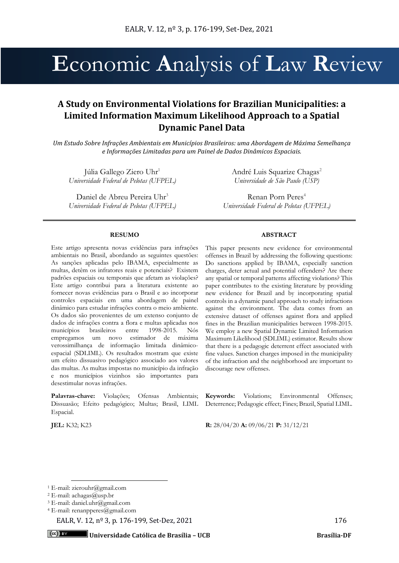# **E**conomic **A**nalysis of **L**aw **R**eview

# **A Study on Environmental Violations for Brazilian Municipalities: a Limited Information Maximum Likelihood Approach to a Spatial Dynamic Panel Data**

*Um Estudo Sobre Infrações Ambientais em Municípios Brasileiros: uma Abordagem de Máxima Semelhança e Informações Limitadas para um Painel de Dados Dinâmicos Espaciais.*

Júlia Gallego Ziero Uhr<sup>1</sup> *Universidade Federal de Pelotas (UFPEL)* 

Daniel de Abreu Pereira Uhr<sup>3</sup> *Universidade Federal de Pelotas (UFPEL)*  André Luis Squarize Chagas<sup>2</sup> *Universidade de São Paulo (USP)*

Renan Porn Peres<sup>4</sup> *Universidade Federal de Pelotas (UFPEL)*

#### **RESUMO**

Este artigo apresenta novas evidências para infrações ambientais no Brasil, abordando as seguintes questões: As sanções aplicadas pelo IBAMA, especialmente as multas, detêm os infratores reais e potenciais? Existem padrões espaciais ou temporais que afetam as violações? Este artigo contribui para a literatura existente ao fornecer novas evidências para o Brasil e ao incorporar controles espaciais em uma abordagem de painel dinâmico para estudar infrações contra o meio ambiente. Os dados são provenientes de um extenso conjunto de dados de infrações contra a flora e multas aplicadas nos municípios brasileiros entre 1998-2015. Nós empregamos um novo estimador de máxima verossimilhança de informação limitada dinâmicoespacial (SDLIML). Os resultados mostram que existe um efeito dissuasivo pedagógico associado aos valores das multas. As multas impostas no município da infração e nos municípios vizinhos são importantes para desestimular novas infrações.

Palavras-chave: Violações; Ofensas Ambientais; Dissuasão; Efeito pedagógico; Multas; Brasil, LIML Espacial.

#### **ABSTRACT**

This paper presents new evidence for environmental offenses in Brazil by addressing the following questions: Do sanctions applied by IBAMA, especially sanction charges, deter actual and potential offenders? Are there any spatial or temporal patterns affecting violations? This paper contributes to the existing literature by providing new evidence for Brazil and by incorporating spatial controls in a dynamic panel approach to study infractions against the environment. The data comes from an extensive dataset of offenses against flora and applied fines in the Brazilian municipalities between 1998-2015. We employ a new Spatial Dynamic Limited Information Maximum Likelihood (SDLIML) estimator. Results show that there is a pedagogic deterrent effect associated with fine values. Sanction charges imposed in the municipality of the infraction and the neighborhood are important to discourage new offenses.

**Keywords:** Violations; Environmental Offenses; Deterrence; Pedagogic effect; Fines; Brazil, Spatial LIML.

**JEL:** K32; K23 **R:** 28/04/20 **A:** 09/06/21 **P:** 31/12/21

EALR, V. 12, n<sup>o</sup> 3, p. 176-199, Set-Dez, 2021 176

<sup>1</sup> E-mail: zierouhr@gmail.com

<sup>&</sup>lt;sup>2</sup> E-mail: achagas@usp.br

<sup>3</sup> E-mail: daniel.uhr@gmail.com

<sup>4</sup> E-mail: renanpperes@gmail.com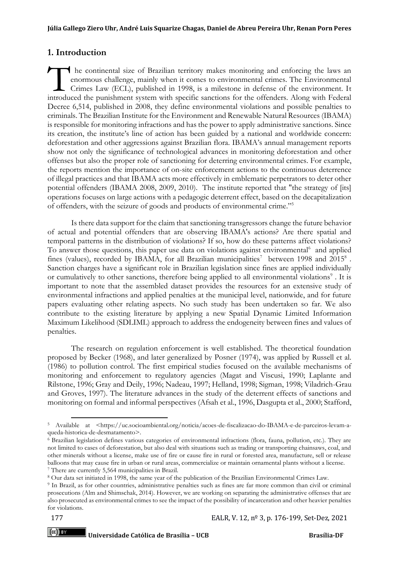# **1. Introduction**

 he continental size of Brazilian territory makes monitoring and enforcing the laws an enormous challenge, mainly when it comes to environmental crimes. The Environmental Crimes Law (ECL), published in 1998, is a milestone in defense of the environment. It International size of Brazilian territory makes monitoring and enforcing the laws an enormous challenge, mainly when it comes to environmental crimes. The Environmental Crimes Law (ECL), published in 1998, is a milestone i Decree 6,514, published in 2008, they define environmental violations and possible penalties to criminals. The Brazilian Institute for the Environment and Renewable Natural Resources (IBAMA) is responsible for monitoring infractions and has the power to apply administrative sanctions. Since its creation, the institute's line of action has been guided by a national and worldwide concern: deforestation and other aggressions against Brazilian flora. IBAMA's annual management reports show not only the significance of technological advances in monitoring deforestation and other offenses but also the proper role of sanctioning for deterring environmental crimes. For example, the reports mention the importance of on-site enforcement actions to the continuous deterrence of illegal practices and that IBAMA acts more effectively in emblematic perpetrators to deter other potential offenders (IBAMA 2008, 2009, 2010). The institute reported that "the strategy of [its] operations focuses on large actions with a pedagogic deterrent effect, based on the decapitalization of offenders, with the seizure of goods and products of environmental crime."<sup>5</sup>

Is there data support for the claim that sanctioning transgressors change the future behavior of actual and potential offenders that are observing IBAMA's actions? Are there spatial and temporal patterns in the distribution of violations? If so, how do these patterns affect violations? To answer those questions, this paper use data on violations against environmental<sup>6</sup> and applied fines (values), recorded by IBAMA, for all Brazilian municipalities<sup>7</sup> between 1998 and 2015<sup>8</sup>. Sanction charges have a significant role in Brazilian legislation since fines are applied individually or cumulatively to other sanctions, therefore being applied to all environmental violations<sup>9</sup>. It is important to note that the assembled dataset provides the resources for an extensive study of environmental infractions and applied penalties at the municipal level, nationwide, and for future papers evaluating other relating aspects. No such study has been undertaken so far. We also contribute to the existing literature by applying a new Spatial Dynamic Limited Information Maximum Likelihood (SDLIML) approach to address the endogeneity between fines and values of penalties.

The research on regulation enforcement is well established. The theoretical foundation proposed by Becker (1968), and later generalized by Posner (1974), was applied by Russell et al. (1986) to pollution control. The first empirical studies focused on the available mechanisms of monitoring and enforcement to regulatory agencies (Magat and Viscusi, 1990; Laplante and Rilstone, 1996; Gray and Deily, 1996; Nadeau, 1997; Helland, 1998; Sigman, 1998; Viladrich-Grau and Groves, 1997). The literature advances in the study of the deterrent effects of sanctions and monitoring on formal and informal perspectives (Afsah et al., 1996, Dasgupta et al., 2000; Stafford,

 $(cc)$  BY

<sup>5</sup> Available at [<https://uc.socioambiental.org/noticia/acoes-de-fiscalizacao-do-IBAMA-e-de-parceiros-levam-a](https://uc.socioambiental.org/noticia/acoes-de-fiscalizacao-do-ibama-e-de-parceiros-levam-a-queda-historica-de-desmatamento)[queda-historica-de-desmatamento>](https://uc.socioambiental.org/noticia/acoes-de-fiscalizacao-do-ibama-e-de-parceiros-levam-a-queda-historica-de-desmatamento).

<sup>6</sup> Brazilian legislation defines various categories of environmental infractions (flora, fauna, pollution, etc.). They are not limited to cases of deforestation, but also deal with situations such as trading or transporting chainsaws, coal, and other minerals without a license, make use of fire or cause fire in rural or forested area, manufacture, sell or release balloons that may cause fire in urban or rural areas, commercialize or maintain ornamental plants without a license. <sup>7</sup> There are currently 5,564 municipalities in Brazil.

<sup>8</sup> Our data set initiated in 1998, the same year of the publication of the Brazilian Environmental Crimes Law.

<sup>9</sup> In Brazil, as for other countries, administrative penalties such as fines are far more common than civil or criminal prosecutions (Alm and Shimschak, 2014). However, we are working on separating the administrative offenses that are also prosecuted as environmental crimes to see the impact of the possibility of incarceration and other heavier penalties for violations.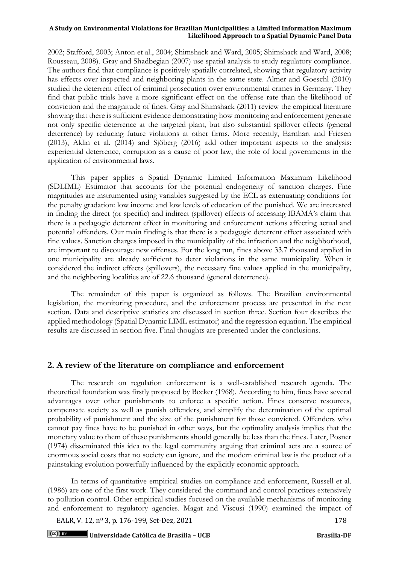2002; Stafford, 2003; Anton et al., 2004; Shimshack and Ward, 2005; Shimshack and Ward, 2008; Rousseau, 2008). Gray and Shadbegian (2007) use spatial analysis to study regulatory compliance. The authors find that compliance is positively spatially correlated, showing that regulatory activity has effects over inspected and neighboring plants in the same state. Almer and Goeschl (2010) studied the deterrent effect of criminal prosecution over environmental crimes in Germany. They find that public trials have a more significant effect on the offense rate than the likelihood of conviction and the magnitude of fines. Gray and Shimshack (2011) review the empirical literature showing that there is sufficient evidence demonstrating how monitoring and enforcement generate not only specific deterrence at the targeted plant, but also substantial spillover effects (general deterrence) by reducing future violations at other firms. More recently, Earnhart and Friesen (2013), Aklin et al. (2014) and Sjöberg (2016) add other important aspects to the analysis: experiential deterrence, corruption as a cause of poor law, the role of local governments in the application of environmental laws.

This paper applies a Spatial Dynamic Limited Information Maximum Likelihood (SDLIML) Estimator that accounts for the potential endogeneity of sanction charges. Fine magnitudes are instrumented using variables suggested by the ECL as extenuating conditions for the penalty gradation: low income and low levels of education of the punished. We are interested in finding the direct (or specific) and indirect (spillover) effects of accessing IBAMA's claim that there is a pedagogic deterrent effect in monitoring and enforcement actions affecting actual and potential offenders. Our main finding is that there is a pedagogic deterrent effect associated with fine values. Sanction charges imposed in the municipality of the infraction and the neighborhood, are important to discourage new offenses. For the long run, fines above 33.7 thousand applied in one municipality are already sufficient to deter violations in the same municipality. When it considered the indirect effects (spillovers), the necessary fine values applied in the municipality, and the neighboring localities are of 22.6 thousand (general deterrence).

The remainder of this paper is organized as follows. The Brazilian environmental legislation, the monitoring procedure, and the enforcement process are presented in the next section. Data and descriptive statistics are discussed in section three. Section four describes the applied methodology (Spatial Dynamic LIML estimator) and the regression equation. The empirical results are discussed in section five. Final thoughts are presented under the conclusions.

# **2. A review of the literature on compliance and enforcement**

The research on regulation enforcement is a well-established research agenda. The theoretical foundation was firstly proposed by Becker (1968). According to him, fines have several advantages over other punishments to enforce a specific action. Fines conserve resources, compensate society as well as punish offenders, and simplify the determination of the optimal probability of punishment and the size of the punishment for those convicted. Offenders who cannot pay fines have to be punished in other ways, but the optimality analysis implies that the monetary value to them of these punishments should generally be less than the fines. Later, Posner (1974) disseminated this idea to the legal community arguing that criminal acts are a source of enormous social costs that no society can ignore, and the modern criminal law is the product of a painstaking evolution powerfully influenced by the explicitly economic approach.

In terms of quantitative empirical studies on compliance and enforcement, Russell et al. (1986) are one of the first work. They considered the command and control practices extensively to pollution control. Other empirical studies focused on the available mechanisms of monitoring and enforcement to regulatory agencies. Magat and Viscusi (1990) examined the impact of

EALR, V. 12, nº 3, p. 176-199, Set-Dez, 2021 178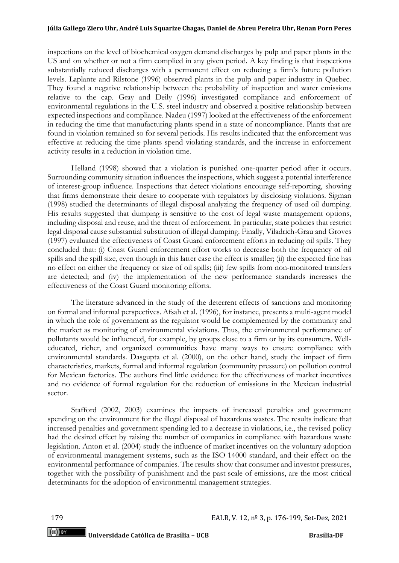inspections on the level of biochemical oxygen demand discharges by pulp and paper plants in the US and on whether or not a firm complied in any given period. A key finding is that inspections substantially reduced discharges with a permanent effect on reducing a firm's future pollution levels. Laplante and Rilstone (1996) observed plants in the pulp and paper industry in Quebec. They found a negative relationship between the probability of inspection and water emissions relative to the cap. Gray and Deily (1996) investigated compliance and enforcement of environmental regulations in the U.S. steel industry and observed a positive relationship between expected inspections and compliance. Nadeu (1997) looked at the effectiveness of the enforcement in reducing the time that manufacturing plants spend in a state of noncompliance. Plants that are found in violation remained so for several periods. His results indicated that the enforcement was effective at reducing the time plants spend violating standards, and the increase in enforcement activity results in a reduction in violation time.

Helland (1998) showed that a violation is punished one-quarter period after it occurs. Surrounding community situation influences the inspections, which suggest a potential interference of interest-group influence. Inspections that detect violations encourage self-reporting, showing that firms demonstrate their desire to cooperate with regulators by disclosing violations. Sigman (1998) studied the determinants of illegal disposal analyzing the frequency of used oil dumping. His results suggested that dumping is sensitive to the cost of legal waste management options, including disposal and reuse, and the threat of enforcement. In particular, state policies that restrict legal disposal cause substantial substitution of illegal dumping. Finally, Viladrich-Grau and Groves (1997) evaluated the effectiveness of Coast Guard enforcement efforts in reducing oil spills. They concluded that: (i) Coast Guard enforcement effort works to decrease both the frequency of oil spills and the spill size, even though in this latter case the effect is smaller; (ii) the expected fine has no effect on either the frequency or size of oil spills; (iii) few spills from non-monitored transfers are detected; and (iv) the implementation of the new performance standards increases the effectiveness of the Coast Guard monitoring efforts.

The literature advanced in the study of the deterrent effects of sanctions and monitoring on formal and informal perspectives. Afsah et al. (1996), for instance, presents a multi-agent model in which the role of government as the regulator would be complemented by the community and the market as monitoring of environmental violations. Thus, the environmental performance of pollutants would be influenced, for example, by groups close to a firm or by its consumers. Welleducated, richer, and organized communities have many ways to ensure compliance with environmental standards. Dasgupta et al. (2000), on the other hand, study the impact of firm characteristics, markets, formal and informal regulation (community pressure) on pollution control for Mexican factories. The authors find little evidence for the effectiveness of market incentives and no evidence of formal regulation for the reduction of emissions in the Mexican industrial sector.

Stafford (2002, 2003) examines the impacts of increased penalties and government spending on the environment for the illegal disposal of hazardous wastes. The results indicate that increased penalties and government spending led to a decrease in violations, i.e., the revised policy had the desired effect by raising the number of companies in compliance with hazardous waste legislation. Anton et al. (2004) study the influence of market incentives on the voluntary adoption of environmental management systems, such as the ISO 14000 standard, and their effect on the environmental performance of companies. The results show that consumer and investor pressures, together with the possibility of punishment and the past scale of emissions, are the most critical determinants for the adoption of environmental management strategies.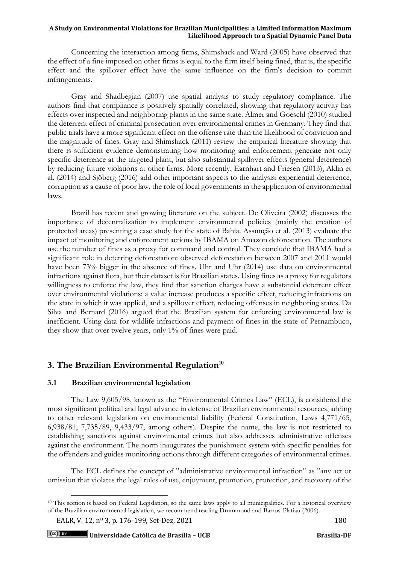Concerning the interaction among firms, Shimshack and Ward (2005) have observed that the effect of a fine imposed on other firms is equal to the firm itself being fined, that is, the specific effect and the spillover effect have the same influence on the firm's decision to commit infringements.

Gray and Shadbegian (2007) use spatial analysis to study regulatory compliance. The authors find that compliance is positively spatially correlated, showing that regulatory activity has effects over inspected and neighboring plants in the same state. Almer and Goeschl (2010) studied the deterrent effect of criminal prosecution over environmental crimes in Germany. They find that public trials have a more significant effect on the offense rate than the likelihood of conviction and the magnitude of fines. Gray and Shimshack (2011) review the empirical literature showing that there is sufficient evidence demonstrating how monitoring and enforcement generate not only specific deterrence at the targeted plant, but also substantial spillover effects (general deterrence) by reducing future violations at other firms. More recently, Earnhart and Friesen (2013), Aklin et al. (2014) and Sjöberg (2016) add other important aspects to the analysis: experiential deterrence, corruption as a cause of poor law, the role of local governments in the application of environmental laws.

Brazil has recent and growing literature on the subject. De Oliveira (2002) discusses the importance of decentralization to implement environmental policies (mainly the creation of protected areas) presenting a case study for the state of Bahia. Assunção et al. (2013) evaluate the impact of monitoring and enforcement actions by IBAMA on Amazon deforestation. The authors use the number of fines as a proxy for command and control. They conclude that IBAMA had a significant role in deterring deforestation: observed deforestation between 2007 and 2011 would have been 73% bigger in the absence of fines. Uhr and Uhr (2014) use data on environmental infractions against flora, but their dataset is for Brazilian states. Using fines as a proxy for regulators willingness to enforce the law, they find that sanction charges have a substantial deterrent effect over environmental violations: a value increase produces a specific effect, reducing infractions on the state in which it was applied, and a spillover effect, reducing offenses in neighboring states. Da Silva and Bernard (2016) argued that the Brazilian system for enforcing environmental law is inefficient. Using data for wildlife infractions and payment of fines in the state of Pernambuco, they show that over twelve years, only 1% of fines were paid.

# **3. The Brazilian Environmental Regulation<sup>10</sup>**

# **3.1 Brazilian environmental legislation**

The Law 9,605/98, known as the "Environmental Crimes Law" (ECL), is considered the most significant political and legal advance in defense of Brazilian environmental resources, adding to other relevant legislation on environmental liability (Federal Constitution, Laws 4,771/65, 6,938/81, 7,735/89, 9,433/97, among others). Despite the name, the law is not restricted to establishing sanctions against environmental crimes but also addresses administrative offenses against the environment. The norm inaugurates the punishment system with specific penalties for the offenders and guides monitoring actions through different categories of environmental crimes.

The ECL defines the concept of "administrative environmental infraction" as "any act or omission that violates the legal rules of use, enjoyment, promotion, protection, and recovery of the

<sup>&</sup>lt;sup>10</sup> This section is based on Federal Legislation, so the same laws apply to all municipalities. For a historical overview of the Brazilian environmental legislation, we recommend reading Drummond and Barros-Platiau (2006).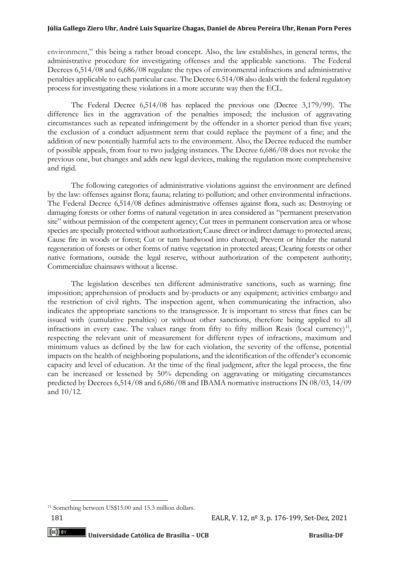environment," this being a rather broad concept. Also, the law establishes, in general terms, the administrative procedure for investigating offenses and the applicable sanctions. The Federal Decrees 6,514/08 and 6,686/08 regulate the types of environmental infractions and administrative penalties applicable to each particular case. The Decree 6.514/08 also deals with the federal regulatory process for investigating these violations in a more accurate way then the ECL.

The Federal Decree 6,514/08 has replaced the previous one (Decree 3,179/99). The difference lies in the aggravation of the penalties imposed; the inclusion of aggravating circumstances such as repeated infringement by the offender in a shorter period than five years; the exclusion of a conduct adjustment term that could replace the payment of a fine; and the addition of new potentially harmful acts to the environment. Also, the Decree reduced the number of possible appeals, from four to two judging instances. The Decree 6,686/08 does not revoke the previous one, but changes and adds new legal devices, making the regulation more comprehensive and rigid.

The following categories of administrative violations against the environment are defined by the law: offenses against flora; fauna; relating to pollution; and other environmental infractions. The Federal Decree 6,514/08 defines administrative offenses against flora, such as: Destroying or damaging forests or other forms of natural vegetation in area considered as "permanent preservation site" without permission of the competent agency; Cut trees in permanent conservation area or whose species are specially protected without authorization; Cause direct or indirect damage to protected areas; Cause fire in woods or forest; Cut or turn hardwood into charcoal; Prevent or hinder the natural regeneration of forests or other forms of native vegetation in protected areas; Clearing forests or other native formations, outside the legal reserve, without authorization of the competent authority; Commercialize chainsaws without a license.

The legislation describes ten different administrative sanctions, such as warning; fine imposition; apprehension of products and by-products or any equipment; activities embargo and the restriction of civil rights. The inspection agent, when communicating the infraction, also indicates the appropriate sanctions to the transgressor. It is important to stress that fines can be issued with (cumulative penalties) or without other sanctions, therefore being applied to all infractions in every case. The values range from fifty to fifty million Reais (local currency)<sup>11</sup>, respecting the relevant unit of measurement for different types of infractions, maximum and minimum values as defined by the law for each violation, the severity of the offense, potential impacts on the health of neighboring populations, and the identification of the offender's economic capacity and level of education. At the time of the final judgment, after the legal process, the fine can be increased or lessened by 50% depending on aggravating or mitigating circumstances predicted by Decrees 6,514/08 and 6,686/08 and IBAMA normative instructions IN 08/03, 14/09 and 10/12.

<sup>&</sup>lt;sup>11</sup> Something between US\$15.00 and 15.3 million dollars.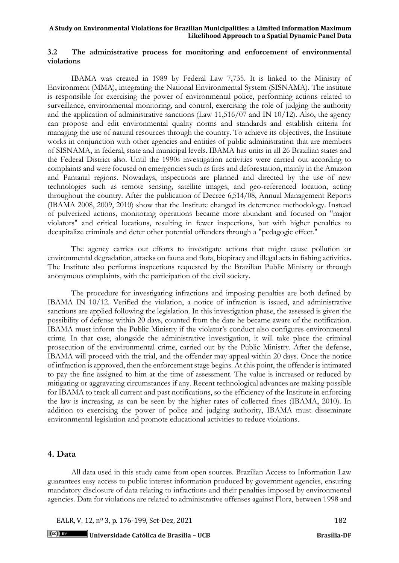# **3.2 The administrative process for monitoring and enforcement of environmental violations**

IBAMA was created in 1989 by Federal Law 7,735. It is linked to the Ministry of Environment (MMA), integrating the National Environmental System (SISNAMA). The institute is responsible for exercising the power of environmental police, performing actions related to surveillance, environmental monitoring, and control, exercising the role of judging the authority and the application of administrative sanctions (Law  $11,516/07$  and IN 10/12). Also, the agency can propose and edit environmental quality norms and standards and establish criteria for managing the use of natural resources through the country. To achieve its objectives, the Institute works in conjunction with other agencies and entities of public administration that are members of SISNAMA, in federal, state and municipal levels. IBAMA has units in all 26 Brazilian states and the Federal District also. Until the 1990s investigation activities were carried out according to complaints and were focused on emergencies such as fires and deforestation, mainly in the Amazon and Pantanal regions. Nowadays, inspections are planned and directed by the use of new technologies such as remote sensing, satellite images, and geo-referenced location, acting throughout the country. After the publication of Decree 6,514/08, Annual Management Reports (IBAMA 2008, 2009, 2010) show that the Institute changed its deterrence methodology. Instead of pulverized actions, monitoring operations became more abundant and focused on "major violators" and critical locations, resulting in fewer inspections, but with higher penalties to decapitalize criminals and deter other potential offenders through a "pedagogic effect."

The agency carries out efforts to investigate actions that might cause pollution or environmental degradation, attacks on fauna and flora, biopiracy and illegal acts in fishing activities. The Institute also performs inspections requested by the Brazilian Public Ministry or through anonymous complaints, with the participation of the civil society.

The procedure for investigating infractions and imposing penalties are both defined by IBAMA IN 10/12. Verified the violation, a notice of infraction is issued, and administrative sanctions are applied following the legislation. In this investigation phase, the assessed is given the possibility of defense within 20 days, counted from the date he became aware of the notification. IBAMA must inform the Public Ministry if the violator's conduct also configures environmental crime. In that case, alongside the administrative investigation, it will take place the criminal prosecution of the environmental crime, carried out by the Public Ministry. After the defense, IBAMA will proceed with the trial, and the offender may appeal within 20 days. Once the notice of infraction is approved, then the enforcement stage begins. At this point, the offender is intimated to pay the fine assigned to him at the time of assessment. The value is increased or reduced by mitigating or aggravating circumstances if any. Recent technological advances are making possible for IBAMA to track all current and past notifications, so the efficiency of the Institute in enforcing the law is increasing, as can be seen by the higher rates of collected fines (IBAMA, 2010). In addition to exercising the power of police and judging authority, IBAMA must disseminate environmental legislation and promote educational activities to reduce violations.

# **4. Data**

All data used in this study came from open sources. Brazilian Access to Information Law guarantees easy access to public interest information produced by government agencies, ensuring mandatory disclosure of data relating to infractions and their penalties imposed by environmental agencies. Data for violations are related to administrative offenses against Flora, between 1998 and

EALR, V. 12, nº 3, p. 176-199, Set-Dez, 2021 182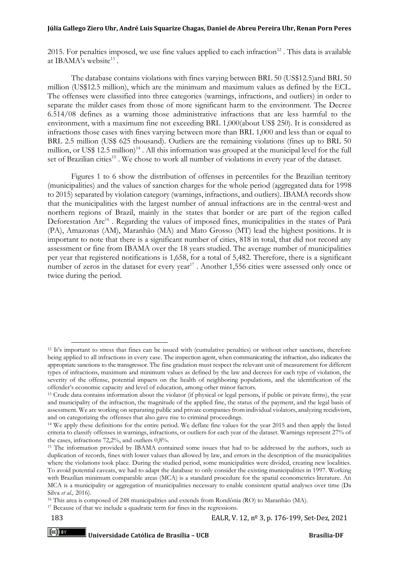2015. For penalties imposed, we use fine values applied to each infraction<sup>12</sup>. This data is available at IBAMA's website<sup>13</sup>.

The database contains violations with fines varying between BRL 50 (US\$12.5)and BRL 50 million (US\$12.5 million), which are the minimum and maximum values as defined by the ECL. The offenses were classified into three categories (warnings, infractions, and outliers) in order to separate the milder cases from those of more significant harm to the environment. The Decree 6.514/08 defines as a warning those administrative infractions that are less harmful to the environment, with a maximum fine not exceeding BRL 1,000(about US\$ 250). It is considered as infractions those cases with fines varying between more than BRL 1,000 and less than or equal to BRL 2.5 million (US\$ 625 thousand). Outliers are the remaining violations (fines up to BRL 50 million, or US\$ 12.5 million)<sup>14</sup>. All this information was grouped at the municipal level for the full set of Brazilian cities<sup>15</sup>. We chose to work all number of violations in every year of the dataset.

Figures 1 to 6 show the distribution of offenses in percentiles for the Brazilian territory (municipalities) and the values of sanction charges for the whole period (aggregated data for 1998 to 2015) separated by violation category (warnings, infractions, and outliers). IBAMA records show that the municipalities with the largest number of annual infractions are in the central-west and northern regions of Brazil, mainly in the states that border or are part of the region called Deforestation Arc<sup>16</sup>. Regarding the values of imposed fines, municipalities in the states of Pará (PA), Amazonas (AM), Maranhão (MA) and Mato Grosso (MT) lead the highest positions. It is important to note that there is a significant number of cities, 818 in total, that did not record any assessment or fine from IBAMA over the 18 years studied. The average number of municipalities per year that registered notifications is 1,658, for a total of 5,482. Therefore, there is a significant number of zeros in the dataset for every year<sup>17</sup>. Another 1,556 cities were assessed only once or twice during the period.

 $(cc)$  by

<sup>&</sup>lt;sup>12</sup> It's important to stress that fines can be issued with (cumulative penalties) or without other sanctions, therefore being applied to all infractions in every case. The inspection agent, when communicating the infraction, also indicates the appropriate sanctions to the transgressor. The fine gradation must respect the relevant unit of measurement for different types of infractions, maximum and minimum values as defined by the law and decrees for each type of violation, the severity of the offense, potential impacts on the health of neighboring populations, and the identification of the offender's economic capacity and level of education, among other minor factors.

<sup>&</sup>lt;sup>13</sup> Crude data contains information about the violator (if physical or legal persons, if public or private firms), the year and municipality of the infraction, the magnitude of the applied fine, the status of the payment, and the legal basis of assessment. We are working on separating public and private companies from individual violators, analyzing recidivism, and on categorizing the offenses that also gave rise to criminal proceedings.

<sup>14</sup> We apply these definitions for the entire period. We deflate fine values for the year 2015 and then apply the listed criteria to classify offenses in warnings, infractions, or outliers for each year of the dataset. Warnings represent 27% of the cases, infractions 72,2%, and outliers 0,8%.

<sup>15</sup> The information provided by IBAMA contained some issues that had to be addressed by the authors, such as duplication of records, fines with lower values than allowed by law, and errors in the description of the municipalities where the violations took place. During the studied period, some municipalities were divided, creating new localities. To avoid potential caveats, we had to adapt the database to only consider the existing municipalities in 1997. Working with Brazilian minimum comparable areas (MCA) is a standard procedure for the spatial econometrics literature. An MCA is a municipality or aggregation of municipalities necessary to enable consistent spatial analyses over time (Da Silva *et al.,* 2016).

<sup>16</sup> This area is composed of 248 municipalities and extends from Rondônia (RO) to Maranhão (MA).

<sup>&</sup>lt;sup>17</sup> Because of that we include a quadratic term for fines in the regressions.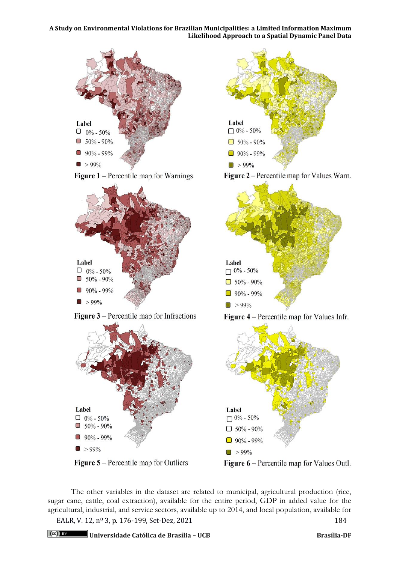

The other variables in the dataset are related to municipal, agricultural production (rice, sugar cane, cattle, coal extraction), available for the entire period, GDP in added value for the agricultural, industrial, and service sectors, available up to 2014, and local population, available for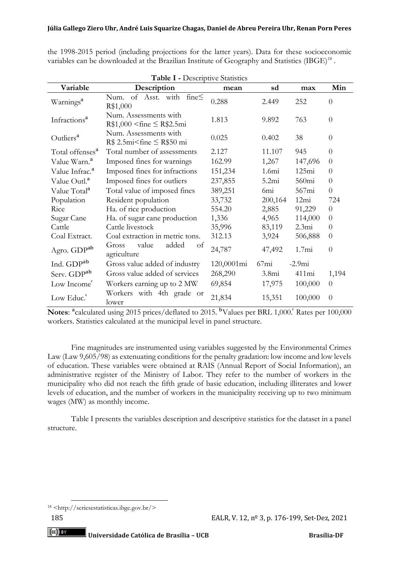| <b>Table I - Descriptive Statistics</b> |                                                           |            |                   |                   |                |  |
|-----------------------------------------|-----------------------------------------------------------|------------|-------------------|-------------------|----------------|--|
| Variable                                | Description                                               | mean       | sd                | max               | Min            |  |
| Warnings <sup>a</sup>                   | of Asst. with<br>fine $\leq$<br>Num.<br>R\$1,000          | 0.288      | 2.449             | 252               | $\Omega$       |  |
| Infractions <sup>a</sup>                | Num. Assessments with<br>$R$1,000 \leq fine \leq R$2.5mi$ | 1.813      | 9.892             | 763               | $\theta$       |  |
| Outliers <sup>a</sup>                   | Num. Assessments with<br>$R$ 2.5mi$ $\leq$ $R$50 mi$      | 0.025      | 0.402             | 38                | $\overline{0}$ |  |
| Total offenses <sup>a</sup>             | Total number of assessments                               | 2.127      | 11.107            | 945               | $\Omega$       |  |
| Value Warn. <sup>a</sup>                | Imposed fines for warnings                                | 162.99     | 1,267             | 147,696           | $\Omega$       |  |
| Value Infrac. <sup>a</sup>              | Imposed fines for infractions                             | 151,234    | 1.6mi             | 125mi             | $\theta$       |  |
| Value Outl. <sup>a</sup>                | Imposed fines for outliers                                | 237,855    | 5.2mi             | 560mi             | $\theta$       |  |
| Value Total <sup>a</sup>                | Total value of imposed fines                              | 389,251    | 6mi               | 567mi             | $\overline{0}$ |  |
| Population                              | Resident population                                       | 33,732     | 200,164           | 12mi              | 724            |  |
| Rice                                    | Ha. of rice production                                    | 554.20     | 2,885             | 91,229            | $\theta$       |  |
| Sugar Cane                              | Ha. of sugar cane production                              | 1,336      | 4,965             | 114,000           | $\overline{0}$ |  |
| Cattle                                  | Cattle livestock                                          | 35,996     | 83,119            | 2.3mi             | $\theta$       |  |
| Coal Extract.                           | Coal extraction in metric tons.                           | 312.13     | 3,924             | 506,888           | $\theta$       |  |
| Agro. GDP <sup>ab</sup>                 | value<br>added<br>Gross<br>of<br>agriculture              | 24,787     | 47,492            | 1.7 <sub>mi</sub> | $\overline{0}$ |  |
| Ind. GDP <sup>ab</sup>                  | Gross value added of industry                             | 120,0001mi | 67mi              | $-2.9mi$          |                |  |
| Serv. GDP <sup>ab</sup>                 | Gross value added of services                             | 268,290    | 3.8 <sub>mi</sub> | 411mi             | 1,194          |  |
| Low Income                              | Workers earning up to 2 MW                                | 69,854     | 17,975            | 100,000           | $\overline{0}$ |  |
| Low Educ. <sup>c</sup>                  | Workers with 4th grade or<br>lower                        | 21,834     | 15,351            | 100,000           | $\overline{0}$ |  |

the 1998-2015 period (including projections for the latter years). Data for these socioeconomic variables can be downloaded at the Brazilian Institute of Geography and Statistics (IBGE)<sup>18</sup> .

Notes: <sup>a</sup>calculated using 2015 prices/deflated to 2015. <sup>b</sup>Values per BRL 1,000. Rates per 100,000 workers. Statistics calculated at the municipal level in panel structure.

Fine magnitudes are instrumented using variables suggested by the Environmental Crimes Law (Law 9,605/98) as extenuating conditions for the penalty gradation: low income and low levels of education. These variables were obtained at RAIS (Annual Report of Social Information), an administrative register of the Ministry of Labor. They refer to the number of workers in the municipality who did not reach the fifth grade of basic education, including illiterates and lower levels of education, and the number of workers in the municipality receiving up to two minimum wages (MW) as monthly income.

Table I presents the variables description and descriptive statistics for the dataset in a panel structure.

<sup>18</sup> [<http://seriesestatisticas.ibge.gov.br/>](http://seriesestatisticas.ibge.gov.br/)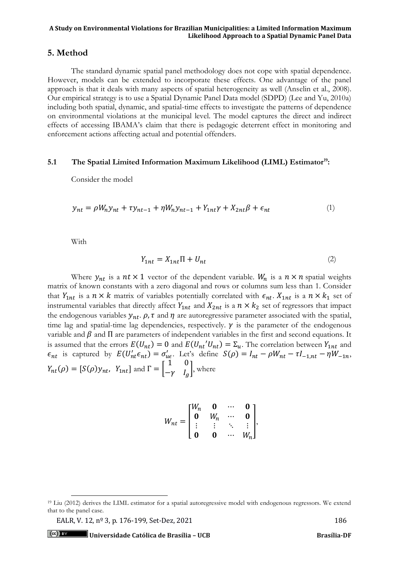# **5. Method**

The standard dynamic spatial panel methodology does not cope with spatial dependence. However, models can be extended to incorporate these effects. One advantage of the panel approach is that it deals with many aspects of spatial heterogeneity as well (Anselin et al., 2008). Our empirical strategy is to use a Spatial Dynamic Panel Data model (SDPD) (Lee and Yu, 2010a) including both spatial, dynamic, and spatial-time effects to investigate the patterns of dependence on environmental violations at the municipal level. The model captures the direct and indirect effects of accessing IBAMA's claim that there is pedagogic deterrent effect in monitoring and enforcement actions affecting actual and potential offenders.

# **5.1 The Spatial Limited Information Maximum Likelihood (LIML) Estimator<sup>19</sup>:**

Consider the model

$$
y_{nt} = \rho W_n y_{nt} + \tau y_{nt-1} + \eta W_n y_{nt-1} + Y_{1nt} \gamma + X_{2nt} \beta + \epsilon_{nt}
$$
\n<sup>(1)</sup>

With

$$
Y_{1nt} = X_{1nt} \Pi + U_{nt} \tag{2}
$$

Where  $y_{nt}$  is a  $nt \times 1$  vector of the dependent variable.  $W_n$  is a  $n \times n$  spatial weights matrix of known constants with a zero diagonal and rows or columns sum less than 1. Consider that  $Y_{1nt}$  is a  $n \times k$  matrix of variables potentially correlated with  $\epsilon_{nt}$ .  $X_{1nt}$  is a  $n \times k_1$  set of instrumental variables that directly affect  $Y_{1nt}$  and  $X_{2nt}$  is a  $n \times k_2$  set of regressors that impact the endogenous variables  $y_{nt}$ .  $\rho$ ,  $\tau$  and  $\eta$  are autoregressive parameter associated with the spatial, time lag and spatial-time lag dependencies, respectively.  $\gamma$  is the parameter of the endogenous variable and  $\beta$  and  $\Pi$  are parameters of independent variables in the first and second equations. It is assumed that the errors  $E(U_{nt}) = 0$  and  $E(U_{nt} | U_{nt}) = \Sigma_u$ . The correlation between  $Y_{1nt}$  and  $\epsilon_{nt}$  is captured by  $E(U'_{nt}\epsilon_{nt}) = \sigma'_{ue}$ . Let's define  $S(\rho) = I_{nt} - \rho W_{nt} - \tau I_{-1,nt} - \eta W_{-1n}$ ,  $Y_{nt}(\rho) = [S(\rho)y_{nt}, Y_{1nt}]$  and  $\Gamma =$ 1 0  $-\gamma$   $I_g$ , where

$$
W_{nt} = \begin{bmatrix} W_n & \mathbf{0} & \cdots & \mathbf{0} \\ \mathbf{0} & W_n & \cdots & \mathbf{0} \\ \vdots & \vdots & \ddots & \vdots \\ \mathbf{0} & \mathbf{0} & \cdots & W_n \end{bmatrix},
$$

EALR, V. 12, n<sup>o</sup> 3, p. 176-199, Set-Dez, 2021 186

<sup>19</sup> Liu (2012) derives the LIML estimator for a spatial autoregressive model with endogenous regressors. We extend that to the panel case.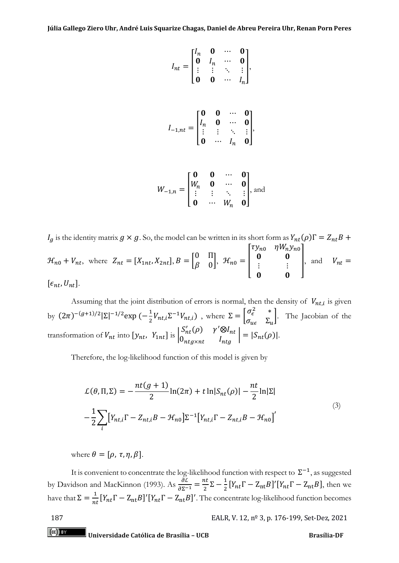$$
I_{nt} = \begin{bmatrix} I_n & \mathbf{0} & \cdots & \mathbf{0} \\ \mathbf{0} & I_n & \cdots & \mathbf{0} \\ \vdots & \vdots & \ddots & \vdots \\ \mathbf{0} & \mathbf{0} & \cdots & I_n \end{bmatrix},
$$

$$
I_{-1,nt} = \begin{bmatrix} 0 & 0 & \cdots & 0 \\ I_n & 0 & \cdots & 0 \\ \vdots & \vdots & \ddots & \vdots \\ 0 & \cdots & I_n & 0 \end{bmatrix},
$$

$$
W_{-1,n} = \begin{bmatrix} \mathbf{0} & \mathbf{0} & \cdots & \mathbf{0} \\ W_n & \mathbf{0} & \cdots & \mathbf{0} \\ \vdots & \vdots & \ddots & \vdots \\ \mathbf{0} & \cdots & W_n & \mathbf{0} \end{bmatrix}, \text{and}
$$

 $I_g$  is the identity matrix  $g \times g$ . So, the model can be written in its short form as  $Y_{nt}(\rho) \Gamma = Z_n$  $\mathcal{H}_{n0} + V_{nt}$ , where  $Z_{nt} = [X_{1nt}, X_{2nt}], B = \begin{bmatrix} 0 & \Pi \\ 0 & 0 \end{bmatrix}$  $\begin{bmatrix} 0 & 0 \\ 0 & 0 \end{bmatrix}$ ,  $\mathcal{H}_{n0} =$  $\tau y_{n0}$   $\eta W_n y_{n0}$  $\mathbf{0}$   $\mathbf{0}$  $\ddot{\textbf{i}}$  $\mathbf{0}$   $\mathbf{0}$ |, and  $V_{nt}$  =  $[\epsilon_{nt}, U_{nt}].$ 

Assuming that the joint distribution of errors is normal, then the density of  $V_{nt,i}$  is given by  $(2\pi)^{-(g+1)/2} |\Sigma|^{-1/2} \exp \left(-\frac{1}{2}\right)$  $\frac{1}{2}V_{nt,i}\Sigma^{-1}V_{nt,i}$ ), where  $\Sigma = \begin{bmatrix} \sigma_{\epsilon}^2 & * \\ \sigma_{\nu\epsilon} & \Sigma_{\nu} \end{bmatrix}$  $\sigma_{u\epsilon}$   $\Sigma_{u}$ . The Jacobian of the transformation of  $V_{nt}$  into  $[y_{nt}, Y_{1nt}]$  is  $S'_{nt}(\rho) \quad \gamma' \otimes I_{nt}$  $\begin{vmatrix} 0_{nt} \varphi & I \ 0_{ntg \times nt} & I_{ntg} \end{vmatrix} = |S_{nt}(\rho)|.$ 

Therefore, the log-likelihood function of this model is given by

$$
\mathcal{L}(\theta, \Pi, \Sigma) = -\frac{nt(g+1)}{2} \ln(2\pi) + t \ln|S_{nt}(\rho)| - \frac{nt}{2} \ln|\Sigma|
$$
  

$$
-\frac{1}{2} \sum_{i} \left[ Y_{nt,i} \Gamma - Z_{nt,i} B - \mathcal{H}_{n0} \right] \Sigma^{-1} \left[ Y_{nt,i} \Gamma - Z_{nt,i} B - \mathcal{H}_{n0} \right]'
$$
(3)

where  $\theta = [\rho, \tau, \eta, \beta].$ 

It is convenient to concentrate the log-likelihood function with respect to  $\Sigma^{-1}$ , as suggested by Davidson and MacKinnon (1993). As  $\frac{\partial \mathcal{L}}{\partial \Sigma^{-1}} = \frac{nt}{2}$  $\frac{nt}{2}\Sigma-\frac{1}{2}$  $\frac{1}{2}[Y_{nt}\Gamma - Z_{nt}B]'[Y_{nt}\Gamma - Z_{nt}B]$ , then we have that  $\Sigma = \frac{1}{n!}$  $\frac{1}{n t}[Y_{nt} \Gamma - Z_{nt} B]' [Y_{nt} \Gamma - Z_{nt} B]'$ . The concentrate log-likelihood function becomes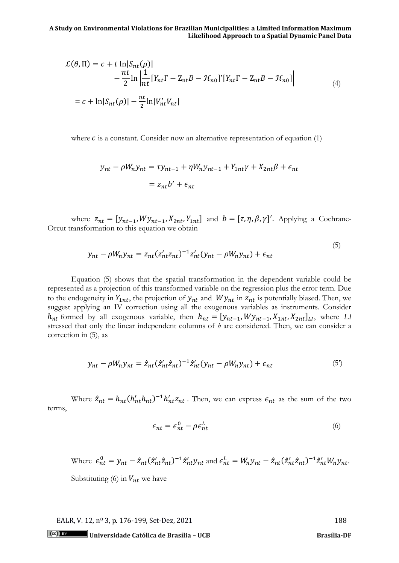$$
\mathcal{L}(\theta, \Pi) = c + t \ln|S_{nt}(\rho)|
$$
  
\n
$$
-\frac{nt}{2} \ln \left| \frac{1}{nt} [Y_{nt}\Gamma - Z_{nt}B - \mathcal{H}_{n0}]'[Y_{nt}\Gamma - Z_{nt}B - \mathcal{H}_{n0}] \right|
$$
  
\n
$$
= c + \ln|S_{nt}(\rho)| - \frac{nt}{2} \ln|V'_{nt}V_{nt}|
$$
\n(4)

where  $c$  is a constant. Consider now an alternative representation of equation (1)

$$
y_{nt} - \rho W_n y_{nt} = \tau y_{nt-1} + \eta W_n y_{nt-1} + Y_{1nt} \gamma + X_{2nt} \beta + \epsilon_{nt}
$$

$$
= z_{nt} b' + \epsilon_{nt}
$$

where  $z_{nt} = [y_{nt-1}, Wy_{nt-1}, X_{2nt}, Y_{1nt}]$  and  $b = [\tau, \eta, \beta, \gamma]'$ . Applying a Cochrane-Orcut transformation to this equation we obtain

$$
y_{nt} - \rho W_n y_{nt} = z_{nt} (z'_{nt} z_{nt})^{-1} z'_{nt} (y_{nt} - \rho W_n y_{nt}) + \epsilon_{nt}
$$
\n(5)

Equation (5) shows that the spatial transformation in the dependent variable could be represented as a projection of this transformed variable on the regression plus the error term. Due to the endogeneity in  $Y_{1nt}$ , the projection of  $y_{nt}$  and  $Wy_{nt}$  in  $z_{nt}$  is potentially biased. Then, we suggest applying an IV correction using all the exogenous variables as instruments. Consider  $h_{nt}$  formed by all exogenous variable, then  $h_{nt} = [y_{nt-1}, Wy_{nt-1}, X_{1nt}, X_{2nt}]_{LL}$ , where LI stressed that only the linear independent columns of *h* are considered. Then, we can consider a correction in (5), as

$$
y_{nt} - \rho W_n y_{nt} = \hat{z}_{nt} (\hat{z}_{nt}' \hat{z}_{nt})^{-1} \hat{z}_{nt}' (y_{nt} - \rho W_n y_{nt}) + \epsilon_{nt}
$$
(5)

Where  $\hat{z}_{nt} = h_{nt} (h'_{nt} h_{nt})^{-1} h'_{nt} z_{nt}$ . Then, we can express  $\epsilon_{nt}$  as the sum of the two terms,

$$
\epsilon_{nt} = \epsilon_{nt}^0 - \rho \epsilon_{nt}^L \tag{6}
$$

Where  $\epsilon_{nt}^0 = y_{nt} - \hat{z}_{nt} (\hat{z}_{nt}' \hat{z}_{nt})^{-1} \hat{z}_{nt}' y_{nt}$  and  $\epsilon_{nt}^L = W_n y_{nt} - \hat{z}_{nt} (\hat{z}_{nt}' \hat{z}_{nt})^{-1} \hat{z}_{nt}' W_n y_{nt}$ . Substituting (6) in  $V_{nt}$  we have

EALR, V. 12, n<sup>o</sup> 3, p. 176-199, Set-Dez, 2021 188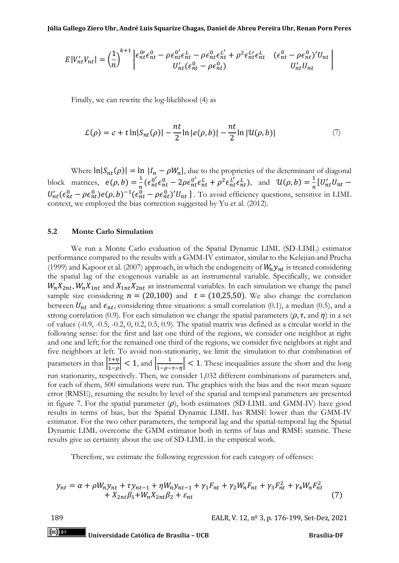$$
E|V'_{nt}V_{nt}| = \left(\frac{1}{n}\right)^{k+1} \begin{vmatrix} \epsilon_{nt}^{0} \epsilon_{nt}^{0} - \rho \epsilon_{nt}^{0} \epsilon_{nt}^{L} - \rho \epsilon_{nt}^{0} \epsilon_{nt}^{L'} + \rho^{2} \epsilon_{nt}^{L'} \epsilon_{nt}^{L} & (\epsilon_{nt}^{0} - \rho \epsilon_{nt}^{0})' U_{nt} \\ U'_{nt}(\epsilon_{nt}^{0} - \rho \epsilon_{nt}^{0}) & U'_{nt} U_{nt} \end{vmatrix}
$$

Finally, we can rewrite the log-likelihood (4) as

$$
\mathcal{L}(\rho) = c + t \ln |S_{nt}(\rho)| - \frac{nt}{2} \ln |e(\rho, b)| - \frac{nt}{2} \ln |\mathcal{U}(\rho, b)| \tag{7}
$$

Where  $\ln|S_{nt}(\rho)| = \ln |I_n - \rho W_n|$ , due to the proprieties of the determinant of diagonal block matrices,  $e(\rho, b) = \frac{1}{n}$  $\frac{1}{n}$ ( $\epsilon_{nt}^{0'} \epsilon_{nt}^{0} - 2\rho \epsilon_{nt}^{0'} \epsilon_{nt}^{L} + \rho^2 \epsilon_{nt}^{L'} \epsilon_{nt}^{L}$ ), and  $\mathcal{U}(\rho, b) = \frac{1}{n}$  $\frac{1}{n}[U'_{nt}U_{nt} U'_{nt}(\epsilon_{nt}^0 - \rho \epsilon_{nt}^0)e(\rho, b)^{-1}(\epsilon_{nt}^0 - \rho \epsilon_{nt}^0)'U_{nt}$ ]. To avoid efficiency questions, sensitive in LIML context, we employed the bias correction suggested by Yu et al. (2012).

# **5.2 Monte Carlo Simulation**

We run a Monte Carlo evaluation of the Spatial Dynamic LIML (SD-LIML) estimator performance compared to the results with a GMM-IV estimator, similar to the Kelejian and Prucha (1999) and Kapoor et al. (2007) approach, in which the endogeneity of  $W_n y_{nt}$  is treated considering the spatial lag of the exogenous variable as an instrumental variable. Specifically, we consider  $W_n X_{2nt}$ ,  $W_n X_{1nt}$  and  $X_{1nt} X_{2nt}$  as instrumental variables. In each simulation we change the panel sample size considering  $n = (20,100)$  and  $t = (10,25,50)$ . We also change the correlation between  $U_{nt}$  and  $\epsilon_{nt}$ , considering three situations: a small correlation (0.1), a median (0.5), and a strong correlation (0.9). For each simulation we change the spatial parameters ( $\rho$ ,  $\tau$ , and  $\eta$ ) in a set of values (-0.9, -0.5, -0.2, 0, 0.2, 0.5, 0.9). The spatial matrix was defined as a circular world in the following sense: for the first and last one third of the regions, we consider one neighbor at right and one and left; for the remained one third of the regions, we consider five neighbors at right and five neighbors at left. To avoid non-stationarity, we limit the simulation to that combination of parameters in that  $\frac{\tau + \eta}{1 - \rho}$  $\left|\frac{\tau+\eta}{1-\rho}\right|$  < 1, and  $\left|\frac{1}{1-\rho-\rho}\right|$  $\frac{1}{1-\rho-\tau-\eta}$  < 1. These inequalities assure the short and the long run stationarity, respectively. Then, we consider 1,032 different combinations of parameters and, for each of them, 500 simulations were run. The graphics with the bias and the root mean square error (RMSE), resuming the results by level of the spatial and temporal parameters are presented in figure 7. For the spatial parameter  $(\rho)$ , both estimators (SD-LIML and GMM-IV) have good results in terms of bias, but the Spatial Dynamic LIML has RMSE lower than the GMM-IV estimator. For the two other parameters, the temporal lag and the spatial-temporal lag the Spatial Dynamic LIML overcome the GMM estimator both in terms of bias and RMSE statistic. These results give us certainty about the use of SD-LIML in the empirical work.

Therefore, we estimate the following regression for each category of offenses:

$$
y_{nt} = \alpha + \rho W_n y_{nt} + \tau y_{nt-1} + \eta W_n y_{nt-1} + \gamma_1 F_{nt} + \gamma_2 W_n F_{nt} + \gamma_3 F_{nt}^2 + \gamma_4 W_n F_{nt}^2 + X_{2nt} \beta_1 + W_n X_{2nt} \beta_2 + \varepsilon_{nt}
$$
\n(7)

189 EALR, V. 12, nº 3, p. 176-199, Set-Dez, 2021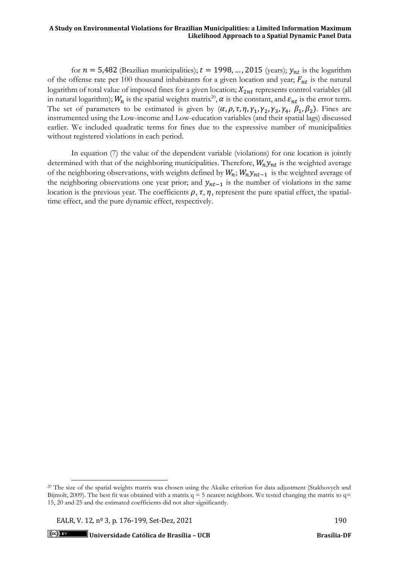for  $n = 5,482$  (Brazilian municipalities);  $t = 1998, \ldots, 2015$  (years);  $y_{nt}$  is the logarithm of the offense rate per 100 thousand inhabitants for a given location and year;  $F_{nt}$  is the natural logarithm of total value of imposed fines for a given location;  $X_{2nt}$  represents control variables (all in natural logarithm);  $W_n$  is the spatial weights matrix<sup>20</sup>,  $\alpha$  is the constant, and  $\varepsilon_{nt}$  is the error term. The set of parameters to be estimated is given by  $(\alpha, \rho, \tau, \eta, \gamma_1, \gamma_2, \gamma_3, \gamma_4, \beta_1, \beta_2)$ . Fines are instrumented using the Low-income and Low-education variables (and their spatial lags) discussed earlier. We included quadratic terms for fines due to the expressive number of municipalities without registered violations in each period.

In equation (7) the value of the dependent variable (violations) for one location is jointly determined with that of the neighboring municipalities. Therefore,  $W_n y_{nt}$  is the weighted average of the neighboring observations, with weights defined by  $W_n$ ;  $W_n y_{nt-1}$  is the weighted average of the neighboring observations one year prior; and  $y_{nt-1}$  is the number of violations in the same location is the previous year. The coefficients  $\rho$ ,  $\tau$ ,  $\eta$ , represent the pure spatial effect, the spatialtime effect, and the pure dynamic effect, respectively.

<sup>&</sup>lt;sup>20</sup> The size of the spatial weights matrix was chosen using the Akaike criterion for data adjustment (Stakhovych and Bijmolt, 2009). The best fit was obtained with a matrix  $q = 5$  nearest neighbors. We tested changing the matrix to  $q=$ 15, 20 and 25 and the estimated coefficients did not alter significantly.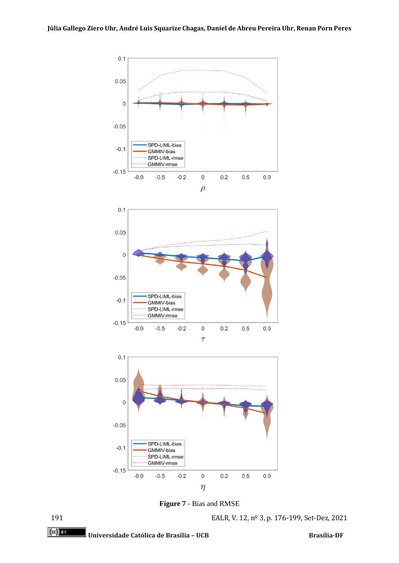

**Figure 7** - Bias and RMSE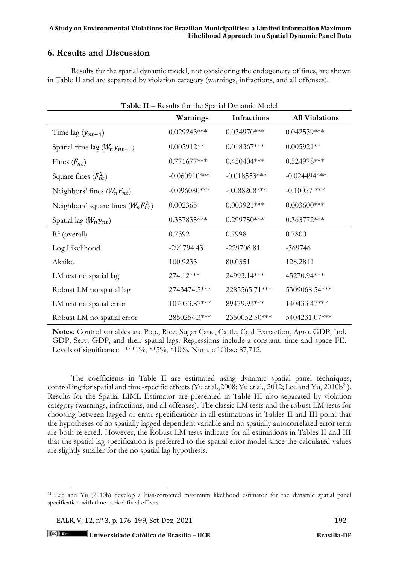# **6. Results and Discussion**

Results for the spatial dynamic model, not considering the endogeneity of fines, are shown in Table II and are separated by violation category (warnings, infractions, and all offenses).

| <b>Table II</b> – Results for the Spatial Dynamic Model |                 |                 |                       |  |  |  |
|---------------------------------------------------------|-----------------|-----------------|-----------------------|--|--|--|
|                                                         | Warnings        | Infractions     | <b>All Violations</b> |  |  |  |
| Time lag $(y_{nt-1})$                                   | $0.029243***$   | $0.034970***$   | $0.042539***$         |  |  |  |
| Spatial time lag $(W_n y_{nt-1})$                       | $0.005912**$    | $0.018367***$   | $0.005921**$          |  |  |  |
| Fines $(F_{nt})$                                        | $0.771677***$   | $0.450404***$   | $0.524978***$         |  |  |  |
| Square fines $(F_{nt}^2)$                               | $-0.060910***$  | $-0.018553***$  | $-0.024494***$        |  |  |  |
| Neighbors' fines $(W_n F_{nt})$                         | $-0.096080$ *** | $-0.088208$ *** | $-0.10057$ ***        |  |  |  |
| Neighbors' square fines $(W_n F_{nt}^2)$                | 0.002365        | $0.003921***$   | $0.003600$ ***        |  |  |  |
| Spatial lag $(W_n y_{nt})$                              | $0.357835***$   | $0.299750***$   | $0.363772***$         |  |  |  |
| $R^2$ (overall)                                         | 0.7392          | 0.7998          | 0.7800                |  |  |  |
| Log Likelihood                                          | $-291794.43$    | $-229706.81$    | $-369746$             |  |  |  |
| Akaike                                                  | 100.9233        | 80.0351         | 128.2811              |  |  |  |
| LM test no spatial lag                                  | 274.12***       | 24993.14***     | 45270.94***           |  |  |  |
| Robust LM no spatial lag                                | 2743474.5***    | 2285565.71***   | 5309068.54***         |  |  |  |
| LM test no spatial error                                | 107053.87***    | 89479.93***     | 140433.47***          |  |  |  |
| Robust LM no spatial error                              | 2850254.3***    | 2350052.50***   | 5404231.07***         |  |  |  |

**Notes:** Control variables are Pop., Rice, Sugar Cane, Cattle, Coal Extraction, Agro. GDP, Ind. GDP, Serv. GDP, and their spatial lags. Regressions include a constant, time and space FE. Levels of significance: \*\*\*1%, \*\*5%, \*10%. Num. of Obs.: 87,712.

The coefficients in Table II are estimated using dynamic spatial panel techniques, controlling for spatial and time-specific effects (Yu et al., 2008; Yu et al., 2012; Lee and Yu, 2010b<sup>21</sup>). Results for the Spatial LIML Estimator are presented in Table III also separated by violation category (warnings, infractions, and all offenses). The classic LM tests and the robust LM tests for choosing between lagged or error specifications in all estimations in Tables II and III point that the hypotheses of no spatially lagged dependent variable and no spatially autocorrelated error term are both rejected. However, the Robust LM tests indicate for all estimations in Tables II and III that the spatial lag specification is preferred to the spatial error model since the calculated values are slightly smaller for the no spatial lag hypothesis.

EALR, V. 12, nº 3, p. 176-199, Set-Dez, 2021 192

<sup>21</sup> Lee and Yu (2010b) develop a bias-corrected maximum likelihood estimator for the dynamic spatial panel specification with time-period fixed effects.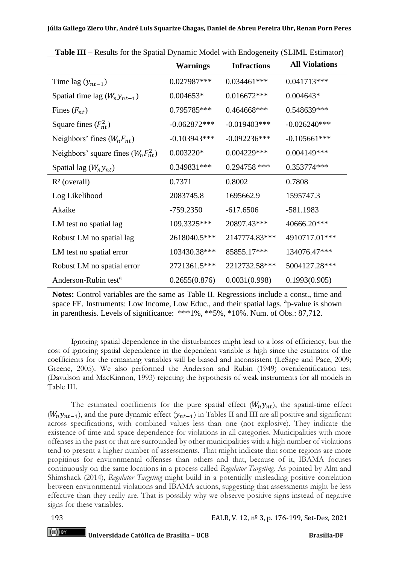|                                          | <b>Warnings</b> | <b>Infractions</b> | <b>All Violations</b> |
|------------------------------------------|-----------------|--------------------|-----------------------|
| Time lag $(y_{nt-1})$                    | 0.027987***     | $0.034461***$      | $0.041713***$         |
| Spatial time lag $(W_n y_{nt-1})$        | $0.004653*$     | 0.016672***        | $0.004643*$           |
| Fines $(F_{nt})$                         | 0.795785***     | 0.464668***        | 0.548639***           |
| Square fines $(F_{nt}^2)$                | $-0.062872***$  | $-0.019403$ ***    | $-0.026240***$        |
| Neighbors' fines $(W_n F_{nt})$          | $-0.103943***$  | $-0.092236***$     | $-0.105661***$        |
| Neighbors' square fines $(W_n F_{nt}^2)$ | $0.003220*$     | 0.004229***        | 0.004149***           |
| Spatial lag $(W_n y_{nt})$               | 0.349831***     | $0.294758$ ***     | 0.353774***           |
| $R2$ (overall)                           | 0.7371          | 0.8002             | 0.7808                |
| Log Likelihood                           | 2083745.8       | 1695662.9          | 1595747.3             |
| Akaike                                   | $-759.2350$     | $-617.6506$        | $-581.1983$           |
| LM test no spatial lag                   | 109.3325***     | 20897.43***        | 40666.20***           |
| Robust LM no spatial lag                 | 2618040.5***    | 2147774.83***      | 4910717.01***         |
| LM test no spatial error                 | 103430.38***    | 85855.17***        | 134076.47***          |
| Robust LM no spatial error               | 2721361.5***    | 2212732.58***      | 5004127.28***         |
| Anderson-Rubin test <sup>a</sup>         | 0.2655(0.876)   | 0.0031(0.998)      | 0.1993(0.905)         |

**Table III** – Results for the Spatial Dynamic Model with Endogeneity (SLIML Estimator)

**Notes:** Control variables are the same as Table II. Regressions include a const., time and space FE. Instruments: Low Income, Low Educ., and their spatial lags. <sup>a</sup>p-value is shown in parenthesis. Levels of significance: \*\*\*1%, \*\*5%, \*10%. Num. of Obs.: 87,712.

Ignoring spatial dependence in the disturbances might lead to a loss of efficiency, but the cost of ignoring spatial dependence in the dependent variable is high since the estimator of the coefficients for the remaining variables will be biased and inconsistent (LeSage and Pace, 2009; Greene, 2005). We also performed the Anderson and Rubin (1949) overidentification test (Davidson and MacKinnon, 1993) rejecting the hypothesis of weak instruments for all models in Table III.

The estimated coefficients for the pure spatial effect  $(W_n y_{nt})$ , the spatial-time effect  $(W_n y_{n-t-1})$ , and the pure dynamic effect  $(y_{n-t-1})$  in Tables II and III are all positive and significant across specifications, with combined values less than one (not explosive). They indicate the existence of time and space dependence for violations in all categories. Municipalities with more offenses in the past or that are surrounded by other municipalities with a high number of violations tend to present a higher number of assessments. That might indicate that some regions are more propitious for environmental offenses than others and that, because of it, IBAMA focuses continuously on the same locations in a process called *Regulator Targeting.* As pointed by Alm and Shimshack (2014), *Regulator Targeting* might build in a potentially misleading positive correlation between environmental violations and IBAMA actions, suggesting that assessments might be less effective than they really are. That is possibly why we observe positive signs instead of negative signs for these variables.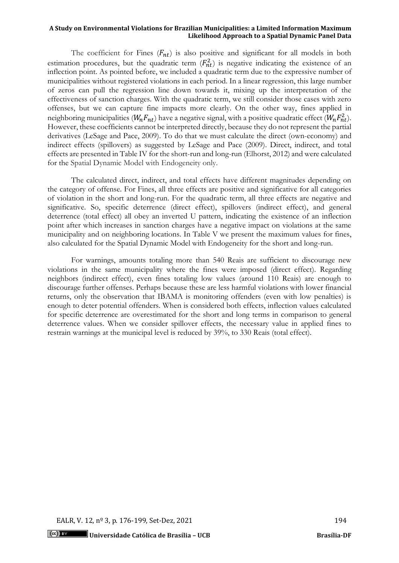The coefficient for Fines  $(F_{nt})$  is also positive and significant for all models in both estimation procedures, but the quadratic term  $(F_{nt}^2)$  is negative indicating the existence of an inflection point. As pointed before, we included a quadratic term due to the expressive number of municipalities without registered violations in each period. In a linear regression, this large number of zeros can pull the regression line down towards it, mixing up the interpretation of the effectiveness of sanction charges. With the quadratic term, we still consider those cases with zero offenses, but we can capture fine impacts more clearly. On the other way, fines applied in neighboring municipalities ( $W_n F_{nt}$ ) have a negative signal, with a positive quadratic effect ( $W_n F_{nt}^2$ ). However, these coefficients cannot be interpreted directly, because they do not represent the partial derivatives (LeSage and Pace, 2009). To do that we must calculate the direct (own-economy) and indirect effects (spillovers) as suggested by LeSage and Pace (2009). Direct, indirect, and total effects are presented in Table IV for the short-run and long-run (Elhorst, 2012) and were calculated for the Spatial Dynamic Model with Endogeneity only.

The calculated direct, indirect, and total effects have different magnitudes depending on the category of offense. For Fines, all three effects are positive and significative for all categories of violation in the short and long-run. For the quadratic term, all three effects are negative and significative. So, specific deterrence (direct effect), spillovers (indirect effect), and general deterrence (total effect) all obey an inverted U pattern, indicating the existence of an inflection point after which increases in sanction charges have a negative impact on violations at the same municipality and on neighboring locations. In Table V we present the maximum values for fines, also calculated for the Spatial Dynamic Model with Endogeneity for the short and long-run.

For warnings, amounts totaling more than 540 Reais are sufficient to discourage new violations in the same municipality where the fines were imposed (direct effect). Regarding neighbors (indirect effect), even fines totaling low values (around 110 Reais) are enough to discourage further offenses. Perhaps because these are less harmful violations with lower financial returns, only the observation that IBAMA is monitoring offenders (even with low penalties) is enough to deter potential offenders. When is considered both effects, inflection values calculated for specific deterrence are overestimated for the short and long terms in comparison to general deterrence values. When we consider spillover effects, the necessary value in applied fines to restrain warnings at the municipal level is reduced by 39%, to 330 Reais (total effect).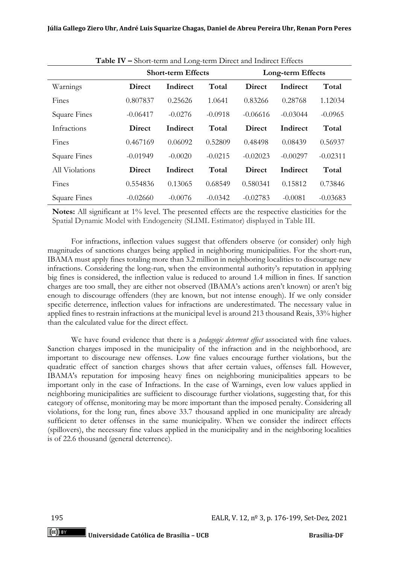|                     | <b>Short-term Effects</b> |           |           | Long-term Effects |            |            |
|---------------------|---------------------------|-----------|-----------|-------------------|------------|------------|
| Warnings            | Direct                    | Indirect  | Total     | Direct            | Indirect   | Total      |
| Fines               | 0.807837                  | 0.25626   | 1.0641    | 0.83266           | 0.28768    | 1.12034    |
| <b>Square Fines</b> | $-0.06417$                | $-0.0276$ | $-0.0918$ | $-0.06616$        | $-0.03044$ | $-0.0965$  |
| Infractions         | Direct                    | Indirect  | Total     | <b>Direct</b>     | Indirect   | Total      |
| Fines               | 0.467169                  | 0.06092   | 0.52809   | 0.48498           | 0.08439    | 0.56937    |
| <b>Square Fines</b> | $-0.01949$                | $-0.0020$ | $-0.0215$ | $-0.02023$        | $-0.00297$ | $-0.02311$ |
| All Violations      | <b>Direct</b>             | Indirect  | Total     | <b>Direct</b>     | Indirect   | Total      |
| Fines               | 0.554836                  | 0.13065   | 0.68549   | 0.580341          | 0.15812    | 0.73846    |
| <b>Square Fines</b> | $-0.02660$                | $-0.0076$ | $-0.0342$ | $-0.02783$        | $-0.0081$  | $-0.03683$ |

**Table IV –** Short-term and Long-term Direct and Indirect Effects

**Notes:** All significant at 1% level. The presented effects are the respective elasticities for the Spatial Dynamic Model with Endogeneity (SLIML Estimator) displayed in Table III.

For infractions, inflection values suggest that offenders observe (or consider) only high magnitudes of sanctions charges being applied in neighboring municipalities. For the short-run, IBAMA must apply fines totaling more than 3.2 million in neighboring localities to discourage new infractions. Considering the long-run, when the environmental authority's reputation in applying big fines is considered, the inflection value is reduced to around 1.4 million in fines. If sanction charges are too small, they are either not observed (IBAMA's actions aren't known) or aren't big enough to discourage offenders (they are known, but not intense enough). If we only consider specific deterrence, inflection values for infractions are underestimated. The necessary value in applied fines to restrain infractions at the municipal level is around 213 thousand Reais, 33% higher than the calculated value for the direct effect.

We have found evidence that there is a *pedagogic deterrent effect* associated with fine values. Sanction charges imposed in the municipality of the infraction and in the neighborhood, are important to discourage new offenses. Low fine values encourage further violations, but the quadratic effect of sanction charges shows that after certain values, offenses fall. However, IBAMA's reputation for imposing heavy fines on neighboring municipalities appears to be important only in the case of Infractions. In the case of Warnings, even low values applied in neighboring municipalities are sufficient to discourage further violations, suggesting that, for this category of offense, monitoring may be more important than the imposed penalty. Considering all violations, for the long run, fines above 33.7 thousand applied in one municipality are already sufficient to deter offenses in the same municipality. When we consider the indirect effects (spillovers), the necessary fine values applied in the municipality and in the neighboring localities is of 22.6 thousand (general deterrence).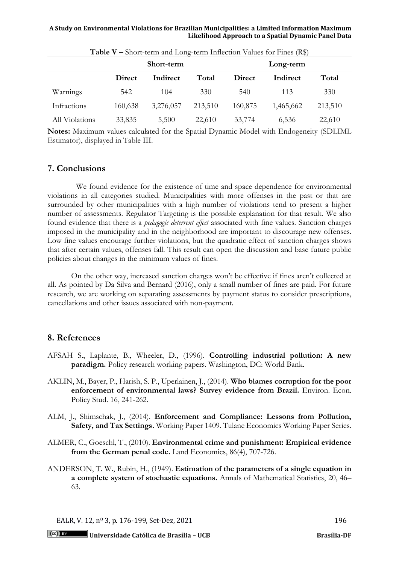|                | Short-term    |           |         | Long-term |           |         |
|----------------|---------------|-----------|---------|-----------|-----------|---------|
|                | <b>Direct</b> | Indirect  | Total   | Direct    | Indirect  | Total   |
| Warnings       | 542           | 104       | 330     | 540       | 113       | 330     |
| Infractions    | 160,638       | 3,276,057 | 213,510 | 160,875   | 1,465,662 | 213,510 |
| All Violations | 33,835        | 5,500     | 22,610  | 33,774    | 6,536     | 22,610  |

**Table V – Short-term and Long-term Inflection Values for Fines**  $(R<sup>2</sup>)$ 

**Notes:** Maximum values calculated for the Spatial Dynamic Model with Endogeneity (SDLIML Estimator), displayed in Table III.

# **7. Conclusions**

We found evidence for the existence of time and space dependence for environmental violations in all categories studied. Municipalities with more offenses in the past or that are surrounded by other municipalities with a high number of violations tend to present a higher number of assessments. Regulator Targeting is the possible explanation for that result. We also found evidence that there is a *pedagogic deterrent effect* associated with fine values. Sanction charges imposed in the municipality and in the neighborhood are important to discourage new offenses. Low fine values encourage further violations, but the quadratic effect of sanction charges shows that after certain values, offenses fall. This result can open the discussion and base future public policies about changes in the minimum values of fines.

On the other way, increased sanction charges won't be effective if fines aren't collected at all. As pointed by Da Silva and Bernard (2016), only a small number of fines are paid. For future research, we are working on separating assessments by payment status to consider prescriptions, cancellations and other issues associated with non-payment.

# **8. References**

- AFSAH S., Laplante, B., Wheeler, D., (1996). **Controlling industrial pollution: A new paradigm.** Policy research working papers. Washington, DC: World Bank.
- AKLIN, M., Bayer, P., Harish, S. P., Uperlainen, J., (2014). **Who blames corruption for the poor enforcement of environmental laws? Survey evidence from Brazil.** Environ. Econ. Policy Stud. 16, 241-262.
- ALM, J., Shimschak, J., (2014). **Enforcement and Compliance: Lessons from Pollution, Safety, and Tax Settings.** Working Paper 1409. Tulane Economics Working Paper Series.
- ALMER, C., Goeschl, T., (2010). **Environmental crime and punishment: Empirical evidence from the German penal code.** Land Economics, 86(4), 707-726.
- ANDERSON, T. W., Rubin, H., (1949). **Estimation of the parameters of a single equation in a complete system of stochastic equations.** Annals of Mathematical Statistics, 20, 46– 63.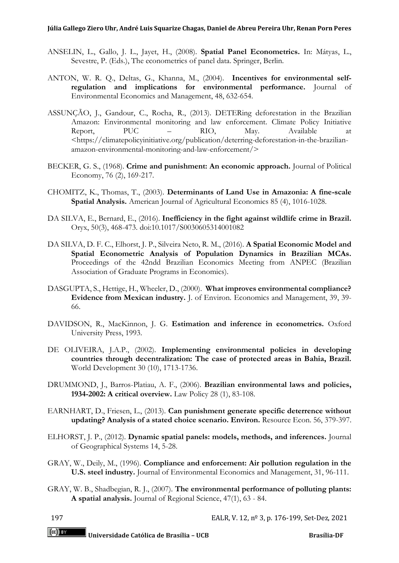- ANSELIN, L., Gallo, J. L., Jayet, H., (2008). **Spatial Panel Econometrics.** In: Mátyas, L., Sevestre, P. (Eds.), The econometrics of panel data. Springer, Berlin.
- ANTON, W. R. Q., Deltas, G., Khanna, M., (2004). **Incentives for environmental selfregulation and implications for environmental performance.** Journal of Environmental Economics and Management, 48, 632-654.
- ASSUNÇÃO, J., Gandour, C., Rocha, R., (2013). DETERing deforestation in the Brazilian Amazon: Environmental monitoring and law enforcement. Climate Policy Initiative Report, PUC – RIO, May. Available at Report, PUC – RIO, May. Available at [<https://climatepolicyinitiative.org/publication/deterring-deforestation-in-the-brazilian](https://climatepolicyinitiative.org/publication/deterring-deforestation-in-the-brazilian-amazon-environmental-monitoring-and-law-enforcement/)[amazon-environmental-monitoring-and-law-enforcement/>](https://climatepolicyinitiative.org/publication/deterring-deforestation-in-the-brazilian-amazon-environmental-monitoring-and-law-enforcement/)
- BECKER, G. S., (1968). **Crime and punishment: An economic approach.** Journal of Political Economy, 76 (2), 169-217.
- CHOMITZ, K., Thomas, T., (2003). **Determinants of Land Use in Amazonia: A fine-scale Spatial Analysis.** American Journal of Agricultural Economics 85 (4), 1016-1028.
- DA SILVA, E., Bernard, E., (2016). **Inefficiency in the fight against wildlife crime in Brazil.** Oryx, 50(3), 468-473. doi:10.1017/S0030605314001082
- DA SILVA, D. F. C., Elhorst, J. P., Silveira Neto, R. M., (2016). **A Spatial Economic Model and Spatial Econometric Analysis of Population Dynamics in Brazilian MCAs.** Proceedings of the 42ndd Brazilian Economics Meeting from ANPEC (Brazilian Association of Graduate Programs in Economics).
- DASGUPTA, S., Hettige, H., Wheeler, D., (2000). **What improves environmental compliance? Evidence from Mexican industry.** J. of Environ. Economics and Management, 39, 39- 66.
- DAVIDSON, R., MacKinnon, J. G. **Estimation and inference in econometrics.** Oxford University Press, 1993.
- DE OLIVEIRA, J.A.P., (2002). **Implementing environmental policies in developing countries through decentralization: The case of protected areas in Bahia, Brazil.** World Development 30 (10), 1713-1736.
- DRUMMOND, J., Barros-Platiau, A. F., (2006). **Brazilian environmental laws and policies, 1934-2002: A critical overview.** Law Policy 28 (1), 83-108.
- EARNHART, D., Friesen, L., (2013). **Can punishment generate specific deterrence without updating? Analysis of a stated choice scenario. Environ.** Resource Econ. 56, 379-397.
- ELHORST, J. P., (2012). **Dynamic spatial panels: models, methods, and inferences.** Journal of Geographical Systems 14, 5-28.
- GRAY, W., Deily, M., (1996). **Compliance and enforcement: Air pollution regulation in the U.S. steel industry.** Journal of Environmental Economics and Management, 31, 96-111.
- GRAY, W. B., Shadbegian, R. J., (2007). **The environmental performance of polluting plants: A spatial analysis.** Journal of Regional Science, 47(1), 63 - 84.
-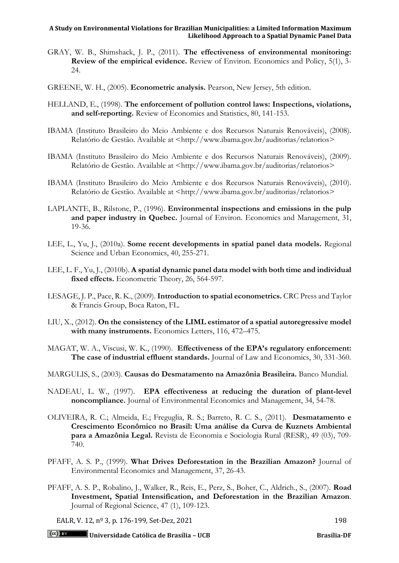- GRAY, W. B., Shimshack, J. P., (2011). **The effectiveness of environmental monitoring: Review of the empirical evidence.** Review of Environ. Economics and Policy, 5(1), 3- 24.
- GREENE, W. H., (2005). **Econometric analysis.** Pearson, New Jersey, 5th edition.
- HELLAND, E., (1998). **The enforcement of pollution control laws: Inspections, violations, and self-reporting.** Review of Economics and Statistics, 80, 141-153.
- IBAMA (Instituto Brasileiro do Meio Ambiente e dos Recursos Naturais Renováveis), (2008). Relatório de Gestão. Available at [<http://www.ibama.gov.br/auditorias/relatorios>](http://www.ibama.gov.br/auditorias/relatorios)
- IBAMA (Instituto Brasileiro do Meio Ambiente e dos Recursos Naturais Renováveis), (2009). Relatório de Gestão. Available at [<http://www.ibama.gov.br/auditorias/relatorios>](http://www.ibama.gov.br/auditorias/relatorios)
- IBAMA (Instituto Brasileiro do Meio Ambiente e dos Recursos Naturais Renováveis), (2010). Relatório de Gestão. Available at [<http://www.ibama.gov.br/auditorias/relatorios>](http://www.ibama.gov.br/auditorias/relatorios)
- LAPLANTE, B., Rilstone, P., (1996). **Environmental inspections and emissions in the pulp and paper industry in Quebec.** Journal of Environ. Economics and Management, 31, 19-36.
- LEE, L., Yu, J., (2010a). **Some recent developments in spatial panel data models.** Regional Science and Urban Economics, 40, 255-271.
- LEE, L. F., Yu, J., (2010b). **A spatial dynamic panel data model with both time and individual fixed effects.** Econometric Theory, 26, 564-597.
- LESAGE, J. P., Pace, R. K., (2009). **Introduction to spatial econometrics.** CRC Press and Taylor & Francis Group, Boca Raton, FL.
- LIU, X., (2012). **On the consistency of the LIML estimator of a spatial autoregressive model with many instruments.** Economics Letters, 116, 472–475.
- MAGAT, W. A., Viscusi, W. K., (1990). **Effectiveness of the EPA's regulatory enforcement: The case of industrial effluent standards.** Journal of Law and Economics, 30, 331-360.
- MARGULIS, S., (2003). **Causas do Desmatamento na Amazônia Brasileira.** Banco Mundial.
- NADEAU, L. W., (1997). **EPA effectiveness at reducing the duration of plant-level noncompliance.** Journal of Environmental Economics and Management, 34, 54-78.
- OLIVEIRA, R. C.; Almeida, E.; Freguglia, R. S.; Barreto, R. C. S., (2011). **Desmatamento e Crescimento Econômico no Brasil: Uma análise da Curva de Kuznets Ambiental para a Amazônia Legal.** Revista de Economia e Sociologia Rural (RESR), 49 (03), 709- 740.
- PFAFF, A. S. P., (1999). **What Drives Deforestation in the Brazilian Amazon?** Journal of Environmental Economics and Management, 37, 26-43.
- PFAFF, A. S. P., Robalino, J., Walker, R., Reis, E., Perz, S., Boher, C., Aldrich., S., (2007). **Road Investment, Spatial Intensification, and Deforestation in the Brazilian Amazon**. Journal of Regional Science, 47 (1), 109-123.

EALR, V. 12, nº 3, p. 176-199, Set-Dez, 2021 198